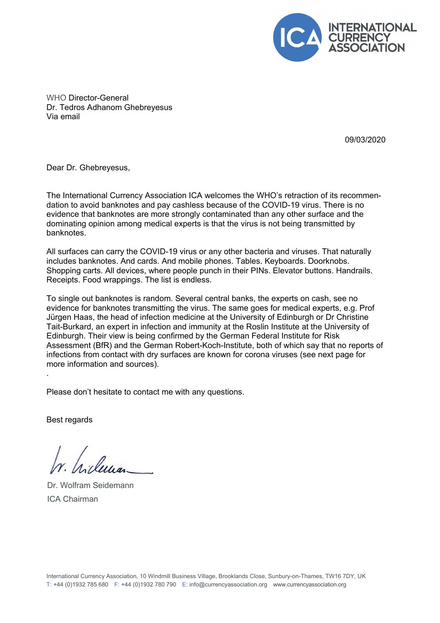

WHO Director-General Dr. Tedros Adhanom Ghebreyesus Via email

09/03/2020

Dear Dr. Ghebreyesus,

The International Currency Association ICA welcomes the WHO's retraction of its recommendation to avoid banknotes and pay cashless because of the COVID-19 virus. There is no evidence that banknotes are more strongly contaminated than any other surface and the dominating opinion among medical experts is that the virus is not being transmitted by banknotes.

All surfaces can carry the COVID-19 virus or any other bacteria and viruses. That naturally includes banknotes. And cards. And mobile phones. Tables. Keyboards. Doorknobs. Shopping carts. All devices, where people punch in their PINs. Elevator buttons. Handrails. Receipts. Food wrappings. The list is endless.

To single out banknotes is random. Several central banks, the experts on cash, see no evidence for banknotes transmitting the virus. The same goes for medical experts, e.g. Prof Jürgen Haas, the head of infection medicine at the University of Edinburgh or Dr Christine Tait-Burkard, an expert in infection and immunity at the Roslin Institute at the University of Edinburgh. Their view is being confirmed by the German Federal Institute for Risk Assessment (BfR) and the German Robert-Koch-Institute, both of which say that no reports of infections from contact with dry surfaces are known for corona viruses (see next page for more information and sources).

Please don't hesitate to contact me with any questions.

Best regards

.

Silessa

Dr. Wolfram Seidemann ICA Chairman